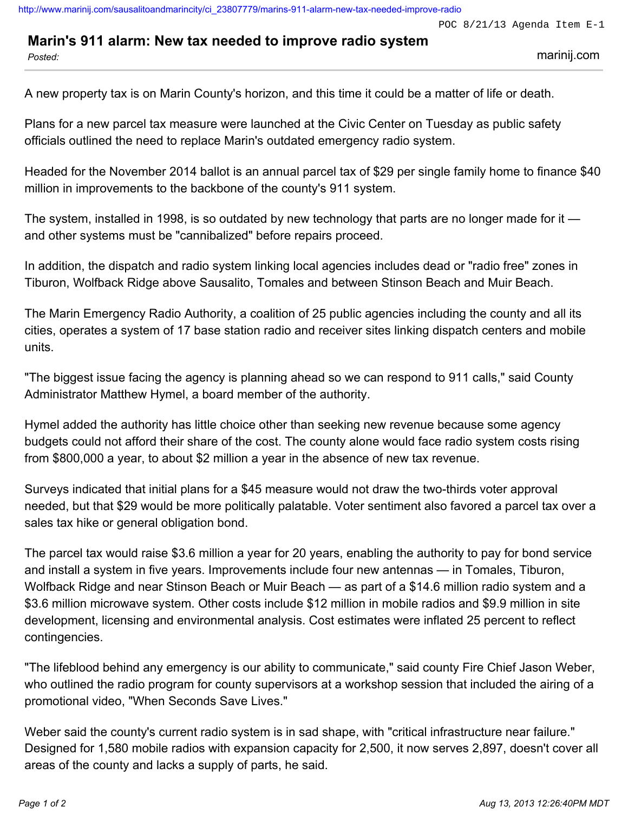## **Marin's 911 alarm: New tax needed to improve radio system**

*Posted:* marinij.com

A new property tax is on Marin County's horizon, and this time it could be a matter of life or death.

Plans for a new parcel tax measure were launched at the Civic Center on Tuesday as public safety officials outlined the need to replace Marin's outdated emergency radio system.

Headed for the November 2014 ballot is an annual parcel tax of \$29 per single family home to finance \$40 million in improvements to the backbone of the county's 911 system.

The system, installed in 1998, is so outdated by new technology that parts are no longer made for it and other systems must be "cannibalized" before repairs proceed.

In addition, the dispatch and radio system linking local agencies includes dead or "radio free" zones in Tiburon, Wolfback Ridge above Sausalito, Tomales and between Stinson Beach and Muir Beach.

The Marin Emergency Radio Authority, a coalition of 25 public agencies including the county and all its cities, operates a system of 17 base station radio and receiver sites linking dispatch centers and mobile units.

"The biggest issue facing the agency is planning ahead so we can respond to 911 calls," said County Administrator Matthew Hymel, a board member of the authority.

Hymel added the authority has little choice other than seeking new revenue because some agency budgets could not afford their share of the cost. The county alone would face radio system costs rising from \$800,000 a year, to about \$2 million a year in the absence of new tax revenue.

Surveys indicated that initial plans for a \$45 measure would not draw the two-thirds voter approval needed, but that \$29 would be more politically palatable. Voter sentiment also favored a parcel tax over a sales tax hike or general obligation bond.

The parcel tax would raise \$3.6 million a year for 20 years, enabling the authority to pay for bond service and install a system in five years. Improvements include four new antennas — in Tomales, Tiburon, Wolfback Ridge and near Stinson Beach or Muir Beach — as part of a \$14.6 million radio system and a \$3.6 million microwave system. Other costs include \$12 million in mobile radios and \$9.9 million in site development, licensing and environmental analysis. Cost estimates were inflated 25 percent to reflect contingencies.

"The lifeblood behind any emergency is our ability to communicate," said county Fire Chief Jason Weber, who outlined the radio program for county supervisors at a workshop session that included the airing of a promotional video, "When Seconds Save Lives."

Weber said the county's current radio system is in sad shape, with "critical infrastructure near failure." Designed for 1,580 mobile radios with expansion capacity for 2,500, it now serves 2,897, doesn't cover all areas of the county and lacks a supply of parts, he said.